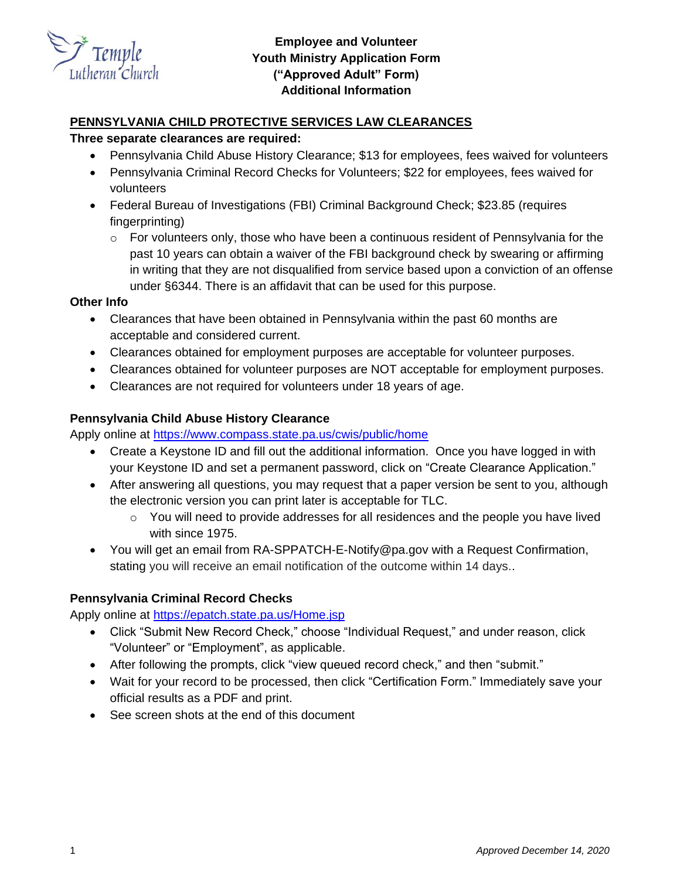

# **Employee and Volunteer Youth Ministry Application Form ("Approved Adult" Form) Additional Information**

### **PENNSYLVANIA CHILD PROTECTIVE SERVICES LAW CLEARANCES**

### **Three separate clearances are required:**

- Pennsylvania Child Abuse History Clearance; \$13 for employees, fees waived for volunteers
- Pennsylvania Criminal Record Checks for Volunteers; \$22 for employees, fees waived for volunteers
- Federal Bureau of Investigations (FBI) Criminal Background Check; \$23.85 (requires fingerprinting)
	- $\circ$  For volunteers only, those who have been a continuous resident of Pennsylvania for the past 10 years can obtain a waiver of the FBI background check by swearing or affirming in writing that they are not disqualified from service based upon a conviction of an offense under §6344. There is an affidavit that can be used for this purpose.

#### **Other Info**

- Clearances that have been obtained in Pennsylvania within the past 60 months are acceptable and considered current.
- Clearances obtained for employment purposes are acceptable for volunteer purposes.
- Clearances obtained for volunteer purposes are NOT acceptable for employment purposes.
- Clearances are not required for volunteers under 18 years of age.

#### **Pennsylvania Child Abuse History Clearance**

Apply online at<https://www.compass.state.pa.us/cwis/public/home>

- Create a Keystone ID and fill out the additional information. Once you have logged in with your Keystone ID and set a permanent password, click on "Create Clearance Application."
- After answering all questions, you may request that a paper version be sent to you, although the electronic version you can print later is acceptable for TLC.
	- $\circ$  You will need to provide addresses for all residences and the people you have lived with since 1975.
- You will get an email from RA-SPPATCH-E-Notify@pa.gov with a Request Confirmation, stating you will receive an email notification of the outcome within 14 days..

### **Pennsylvania Criminal Record Checks**

Apply online at<https://epatch.state.pa.us/Home.jsp>

- Click "Submit New Record Check," choose "Individual Request," and under reason, click "Volunteer" or "Employment", as applicable.
- After following the prompts, click "view queued record check," and then "submit."
- Wait for your record to be processed, then click "Certification Form." Immediately save your official results as a PDF and print.
- See screen shots at the end of this document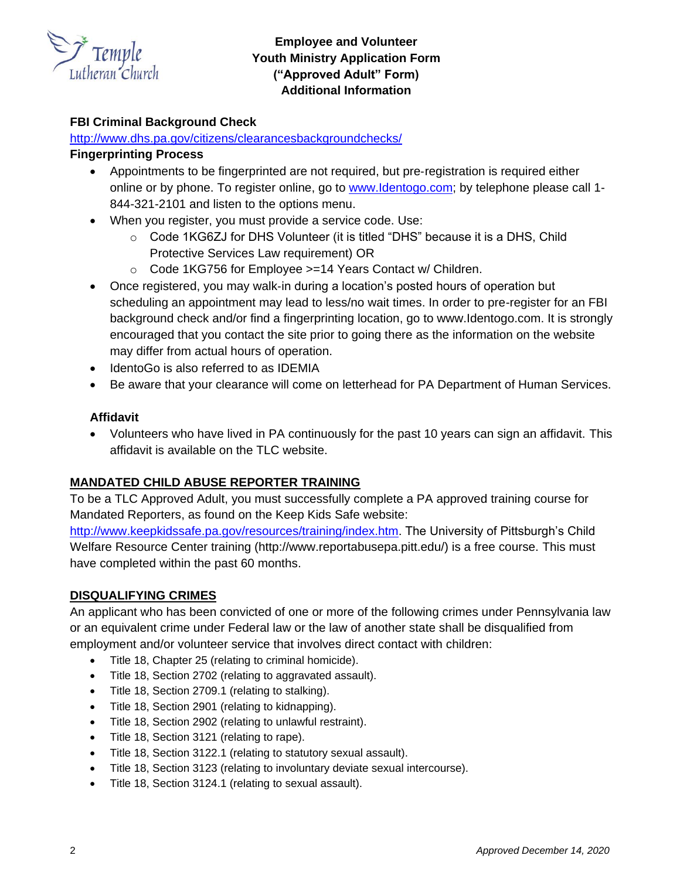

# **Employee and Volunteer Youth Ministry Application Form ("Approved Adult" Form) Additional Information**

## **FBI Criminal Background Check**

### <http://www.dhs.pa.gov/citizens/clearancesbackgroundchecks/>

### **Fingerprinting Process**

- Appointments to be fingerprinted are not required, but pre-registration is required either online or by phone. To register online, go to [www.Identogo.com;](http://www.identogo.com/) by telephone please call 1-844-321-2101 and listen to the options menu.
- When you register, you must provide a service code. Use:
	- $\circ$  Code 1KG6ZJ for DHS Volunteer (it is titled "DHS" because it is a DHS, Child Protective Services Law requirement) OR
	- o Code 1KG756 for Employee >=14 Years Contact w/ Children.
- Once registered, you may walk‐in during a location's posted hours of operation but scheduling an appointment may lead to less/no wait times. In order to pre-register for an FBI background check and/or find a fingerprinting location, go to www.Identogo.com. It is strongly encouraged that you contact the site prior to going there as the information on the website may differ from actual hours of operation.
- IdentoGo is also referred to as IDEMIA
- Be aware that your clearance will come on letterhead for PA Department of Human Services.

## **Affidavit**

• Volunteers who have lived in PA continuously for the past 10 years can sign an affidavit. This affidavit is available on the TLC website.

## **MANDATED CHILD ABUSE REPORTER TRAINING**

To be a TLC Approved Adult, you must successfully complete a PA approved training course for Mandated Reporters, as found on the Keep Kids Safe website:

[http://www.keepkidssafe.pa.gov/resources/training/index.htm.](http://www.keepkidssafe.pa.gov/resources/training/index.htm) The University of Pittsburgh's Child Welfare Resource Center training (http://www.reportabusepa.pitt.edu/) is a free course. This must have completed within the past 60 months.

## **DISQUALIFYING CRIMES**

An applicant who has been convicted of one or more of the following crimes under Pennsylvania law or an equivalent crime under Federal law or the law of another state shall be disqualified from employment and/or volunteer service that involves direct contact with children:

- Title 18, Chapter 25 (relating to criminal homicide).
- Title 18, Section 2702 (relating to aggravated assault).
- Title 18, Section 2709.1 (relating to stalking).
- Title 18, Section 2901 (relating to kidnapping).
- Title 18, Section 2902 (relating to unlawful restraint).
- Title 18, Section 3121 (relating to rape).
- Title 18, Section 3122.1 (relating to statutory sexual assault).
- Title 18, Section 3123 (relating to involuntary deviate sexual intercourse).
- Title 18, Section 3124.1 (relating to sexual assault).